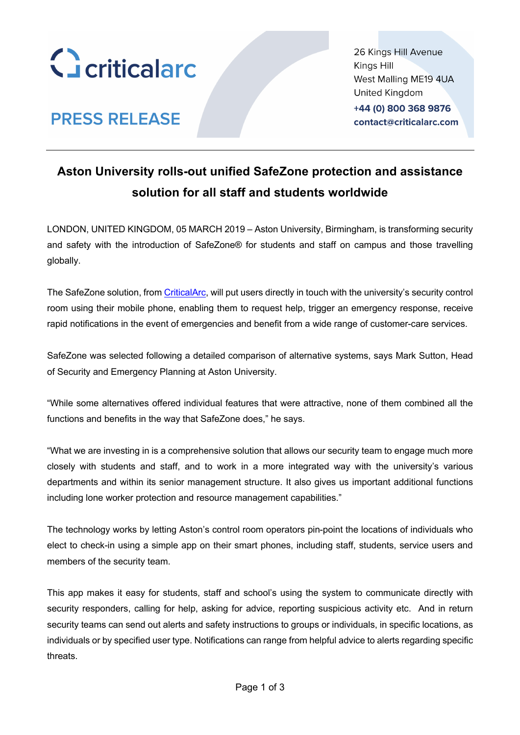

**PRESS RELEASE** 

26 Kings Hill Avenue Kings Hill West Malling ME19 4UA **United Kingdom** 

+44 (0) 800 368 9876 contact@criticalarc.com

### **Aston University rolls-out unified SafeZone protection and assistance solution for all staff and students worldwide**

LONDON, UNITED KINGDOM, 05 MARCH 2019 – Aston University, Birmingham, is transforming security and safety with the introduction of SafeZone® for students and staff on campus and those travelling globally.

The SafeZone solution, from CriticalArc, will put users directly in touch with the university's security control room using their mobile phone, enabling them to request help, trigger an emergency response, receive rapid notifications in the event of emergencies and benefit from a wide range of customer-care services.

SafeZone was selected following a detailed comparison of alternative systems, says Mark Sutton, Head of Security and Emergency Planning at Aston University.

"While some alternatives offered individual features that were attractive, none of them combined all the functions and benefits in the way that SafeZone does," he says.

"What we are investing in is a comprehensive solution that allows our security team to engage much more closely with students and staff, and to work in a more integrated way with the university's various departments and within its senior management structure. It also gives us important additional functions including lone worker protection and resource management capabilities."

The technology works by letting Aston's control room operators pin-point the locations of individuals who elect to check-in using a simple app on their smart phones, including staff, students, service users and members of the security team.

This app makes it easy for students, staff and school's using the system to communicate directly with security responders, calling for help, asking for advice, reporting suspicious activity etc. And in return security teams can send out alerts and safety instructions to groups or individuals, in specific locations, as individuals or by specified user type. Notifications can range from helpful advice to alerts regarding specific threats.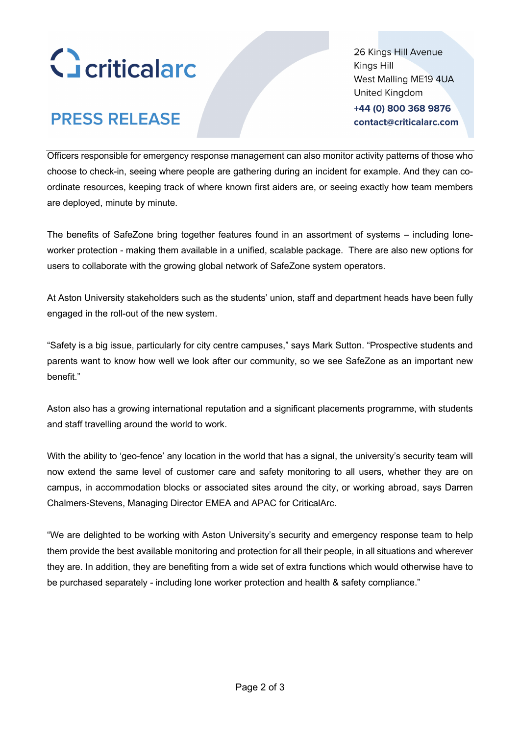

# **PRESS RELEASE**

26 Kings Hill Avenue Kings Hill West Malling ME19 4UA **United Kingdom** +44 (0) 800 368 9876

contact@criticalarc.com

Officers responsible for emergency response management can also monitor activity patterns of those who choose to check-in, seeing where people are gathering during an incident for example. And they can coordinate resources, keeping track of where known first aiders are, or seeing exactly how team members are deployed, minute by minute.

The benefits of SafeZone bring together features found in an assortment of systems – including loneworker protection - making them available in a unified, scalable package. There are also new options for users to collaborate with the growing global network of SafeZone system operators.

At Aston University stakeholders such as the students' union, staff and department heads have been fully engaged in the roll-out of the new system.

"Safety is a big issue, particularly for city centre campuses," says Mark Sutton. "Prospective students and parents want to know how well we look after our community, so we see SafeZone as an important new benefit."

Aston also has a growing international reputation and a significant placements programme, with students and staff travelling around the world to work.

With the ability to 'geo-fence' any location in the world that has a signal, the university's security team will now extend the same level of customer care and safety monitoring to all users, whether they are on campus, in accommodation blocks or associated sites around the city, or working abroad, says Darren Chalmers-Stevens, Managing Director EMEA and APAC for CriticalArc.

"We are delighted to be working with Aston University's security and emergency response team to help them provide the best available monitoring and protection for all their people, in all situations and wherever they are. In addition, they are benefiting from a wide set of extra functions which would otherwise have to be purchased separately - including lone worker protection and health & safety compliance."